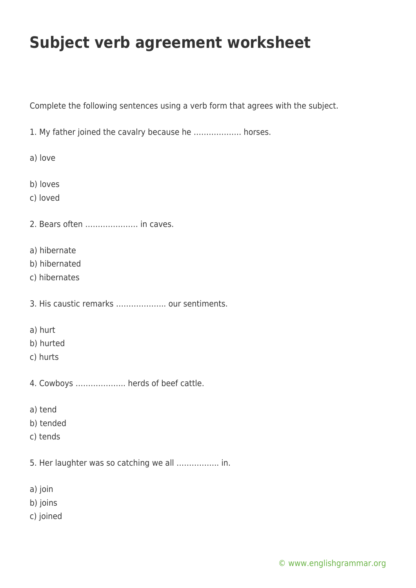## **Subject verb agreement worksheet**

Complete the following sentences using a verb form that agrees with the subject.

1. My father joined the cavalry because he ………………. horses.

a) love

b) loves

c) loved

2. Bears often ………………… in caves.

- a) hibernate
- b) hibernated
- c) hibernates

3. His caustic remarks ……………….. our sentiments.

- a) hurt
- b) hurted
- c) hurts
- 4. Cowboys ……………….. herds of beef cattle.
- a) tend
- b) tended
- c) tends
- 5. Her laughter was so catching we all …………….. in.
- a) join
- b) joins
- c) joined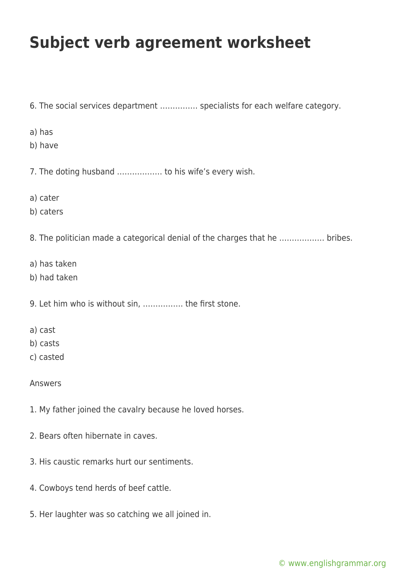## **Subject verb agreement worksheet**

6. The social services department …………… specialists for each welfare category. a) has b) have 7. The doting husband ……………… to his wife's every wish. a) cater b) caters 8. The politician made a categorical denial of the charges that he ……………… bribes. a) has taken b) had taken 9. Let him who is without sin, ……………. the first stone. a) cast b) casts c) casted Answers 1. My father joined the cavalry because he loved horses.

- 2. Bears often hibernate in caves.
- 3. His caustic remarks hurt our sentiments.
- 4. Cowboys tend herds of beef cattle.
- 5. Her laughter was so catching we all joined in.